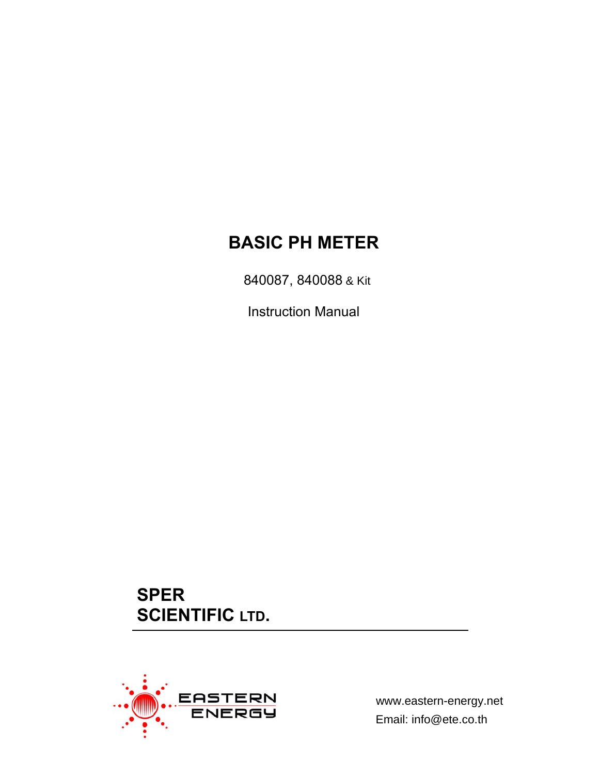# **BASIC PH METER**

840087, 840088 & Kit

Instruction Manual

**SPER SCIENTIFIC LTD.** 



www.eastern-energy.net Email: info@ete.co.th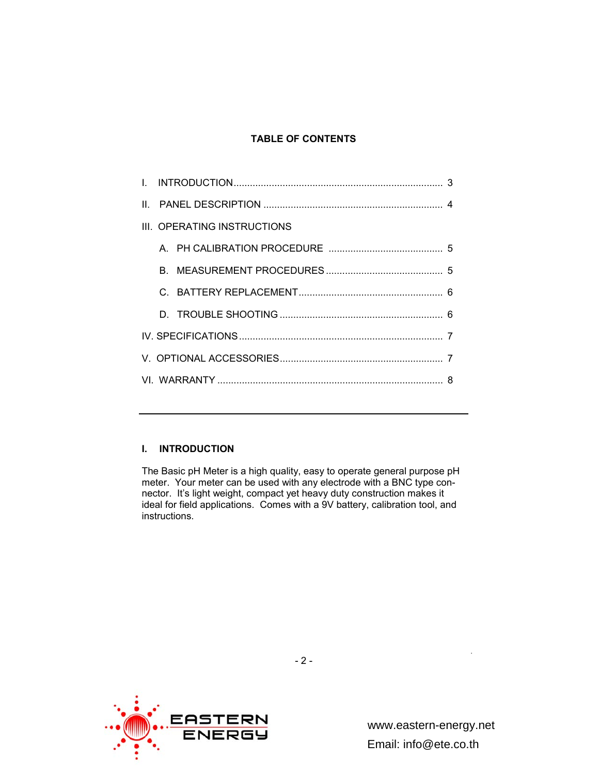## **TABLE OF CONTENTS**

| III. OPERATING INSTRUCTIONS |  |  |  |  |
|-----------------------------|--|--|--|--|
|                             |  |  |  |  |
|                             |  |  |  |  |
|                             |  |  |  |  |
|                             |  |  |  |  |
|                             |  |  |  |  |
|                             |  |  |  |  |
|                             |  |  |  |  |

# **I. INTRODUCTION**

The Basic pH Meter is a high quality, easy to operate general purpose pH meter. Your meter can be used with any electrode with a BNC type connector. It's light weight, compact yet heavy duty construction makes it ideal for field applications. Comes with a 9V battery, calibration tool, and instructions.



www.eastern-energy.net Email: info@ete.co.th

.

- 2 -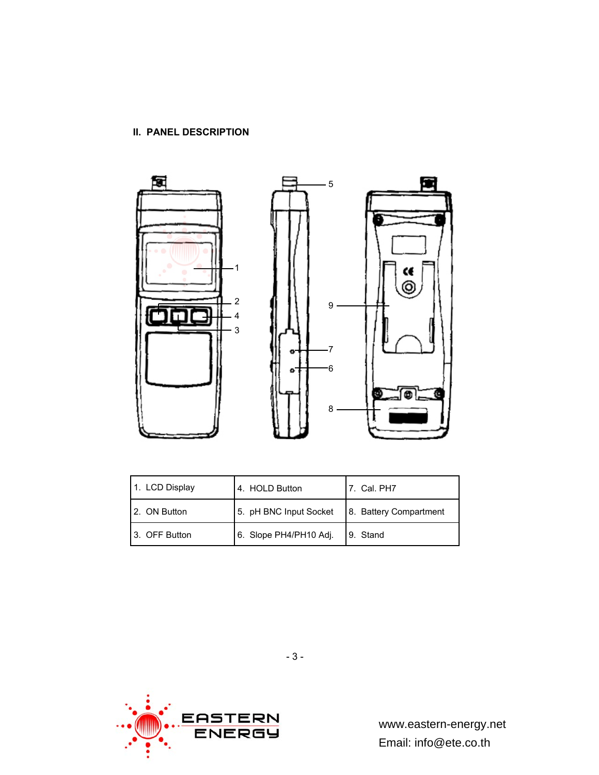# **II. PANEL DESCRIPTION**



| 1. LCD Display | 4. HOLD Button         | 17. Cal. PH7           |
|----------------|------------------------|------------------------|
| 2. ON Button   | 5. pH BNC Input Socket | 8. Battery Compartment |
| 3. OFF Button  | 6. Slope PH4/PH10 Adj. | 9. Stand               |

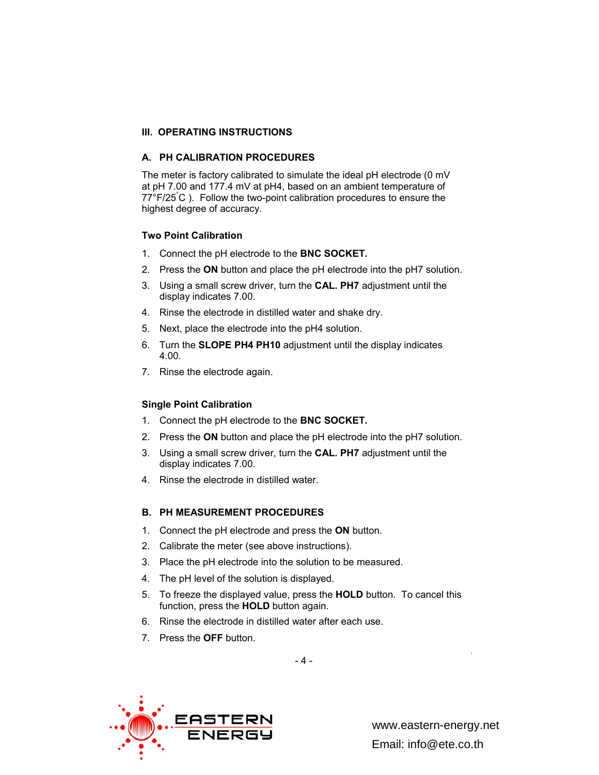## **III. OPERATING INSTRUCTIONS**

#### **A. PH CALIBRATION PROCEDURES**

The meter is factory calibrated to simulate the ideal pH electrode (0 mV at pH 7.00 and 177.4 mV at pH4, based on an ambient temperature of 77°F/25° C ). Follow the two-point calibration procedures to ensure the highest degree of accuracy.

#### **Two Point Calibration**

- 1. Connect the pH electrode to the **BNC SOCKET.**
- 2. Press the **ON** button and place the pH electrode into the pH7 solution.
- 3. Using a small screw driver, turn the **CAL. PH7** adjustment until the display indicates 7.00.
- 4. Rinse the electrode in distilled water and shake dry.
- 5. Next, place the electrode into the pH4 solution.
- 6. Turn the **SLOPE PH4 PH10** adjustment until the display indicates 4.00.
- 7. Rinse the electrode again.

#### **Single Point Calibration**

- 1. Connect the pH electrode to the **BNC SOCKET.**
- 2. Press the **ON** button and place the pH electrode into the pH7 solution.
- 3. Using a small screw driver, turn the **CAL. PH7** adjustment until the display indicates 7.00.
- 4. Rinse the electrode in distilled water.

#### **B. PH MEASUREMENT PROCEDURES**

- 1. Connect the pH electrode and press the **ON** button.
- 2. Calibrate the meter (see above instructions).
- 3. Place the pH electrode into the solution to be measured.
- 4. The pH level of the solution is displayed.
- 5. To freeze the displayed value, press the **HOLD** button. To cancel this function, press the **HOLD** button again.
- 6. Rinse the electrode in distilled water after each use.
- 7. Press the **OFF** button.



www.eastern-energy.net Email: info@ete.co.th

.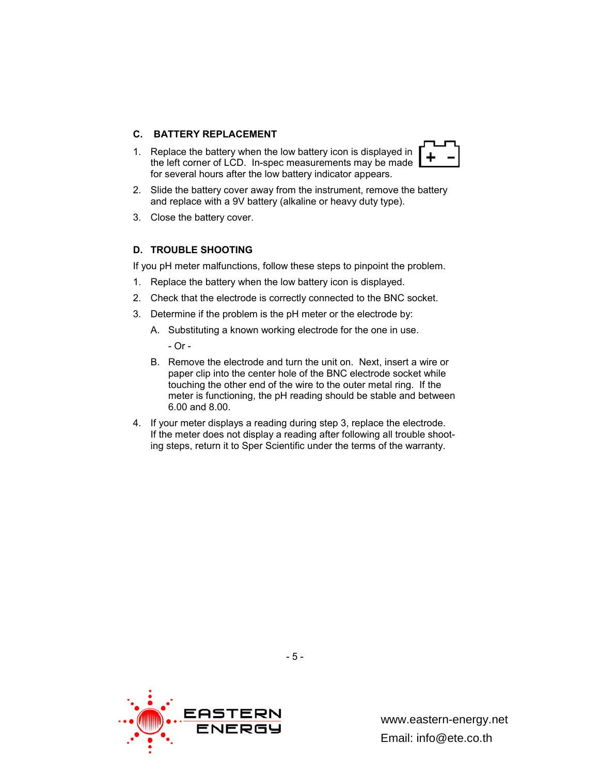#### **C. BATTERY REPLACEMENT**

1. Replace the battery when the low battery icon is displayed in the left corner of LCD. In-spec measurements may be made for several hours after the low battery indicator appears.



3. Close the battery cover.

#### **D. TROUBLE SHOOTING**

If you pH meter malfunctions, follow these steps to pinpoint the problem.

- 1. Replace the battery when the low battery icon is displayed.
- 2. Check that the electrode is correctly connected to the BNC socket.
- 3. Determine if the problem is the pH meter or the electrode by:
	- A. Substituting a known working electrode for the one in use.

- Or -

- B. Remove the electrode and turn the unit on. Next, insert a wire or paper clip into the center hole of the BNC electrode socket while touching the other end of the wire to the outer metal ring. If the meter is functioning, the pH reading should be stable and between 6.00 and 8.00.
- 4. If your meter displays a reading during step 3, replace the electrode. If the meter does not display a reading after following all trouble shooting steps, return it to Sper Scientific under the terms of the warranty.

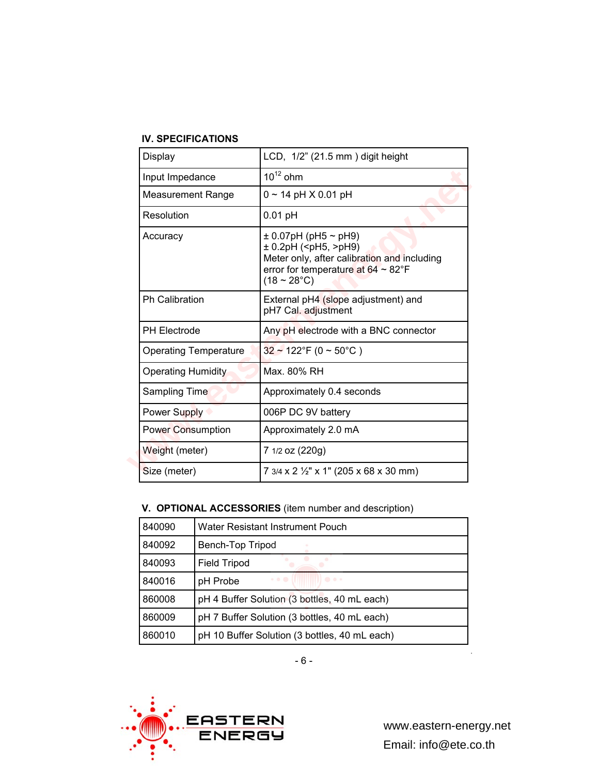# **IV. SPECIFICATIONS**

| Display                      | LCD, 1/2" (21.5 mm) digit height                                                                                                                                                                                    |
|------------------------------|---------------------------------------------------------------------------------------------------------------------------------------------------------------------------------------------------------------------|
| Input Impedance              | $10^{12}$ ohm                                                                                                                                                                                                       |
| <b>Measurement Range</b>     | $0 \sim 14$ pH $\times$ 0.01 pH                                                                                                                                                                                     |
| Resolution                   | $0.01$ pH                                                                                                                                                                                                           |
| Accuracy                     | $\pm$ 0.07pH (pH5 $\sim$ pH9)<br>$± 0.2pH$ ( <ph5,>pH9)<br/>Meter only, after calibration and including<br/>error for temperature at <math>64 \sim 82^{\circ}F</math><br/><math>(18 \sim 28^{\circ}C)</math></ph5,> |
| <b>Ph Calibration</b>        | External pH4 (slope adjustment) and<br>pH7 Cal. adjustment                                                                                                                                                          |
| <b>PH Electrode</b>          | Any pH electrode with a BNC connector                                                                                                                                                                               |
| <b>Operating Temperature</b> | $32 \sim 122$ °F (0 ~ 50°C)                                                                                                                                                                                         |
| <b>Operating Humidity</b>    | Max. 80% RH                                                                                                                                                                                                         |
| Sampling Time                | Approximately 0.4 seconds                                                                                                                                                                                           |
| Power Supply                 | 006P DC 9V battery                                                                                                                                                                                                  |
| <b>Power Consumption</b>     | Approximately 2.0 mA                                                                                                                                                                                                |
| Weight (meter)               | 7 1/2 oz (220g)                                                                                                                                                                                                     |
| Size (meter)                 | 7 3/4 x 2 1/2" x 1" (205 x 68 x 30 mm)                                                                                                                                                                              |

# **V. OPTIONAL ACCESSORIES** (item number and description)

| 840090 | Water Resistant Instrument Pouch                                                                  |
|--------|---------------------------------------------------------------------------------------------------|
| 840092 | Bench-Top Tripod                                                                                  |
| 840093 | <b>Field Tripod</b>                                                                               |
| 840016 | $\begin{array}{c} \circ & \circ & \circ \\ \circ & \circ & \circ \end{array}$<br>0000<br>pH Probe |
| 860008 | pH 4 Buffer Solution (3 bottles, 40 mL each)                                                      |
| 860009 | pH 7 Buffer Solution (3 bottles, 40 mL each)                                                      |
| 860010 | pH 10 Buffer Solution (3 bottles, 40 mL each)                                                     |



.